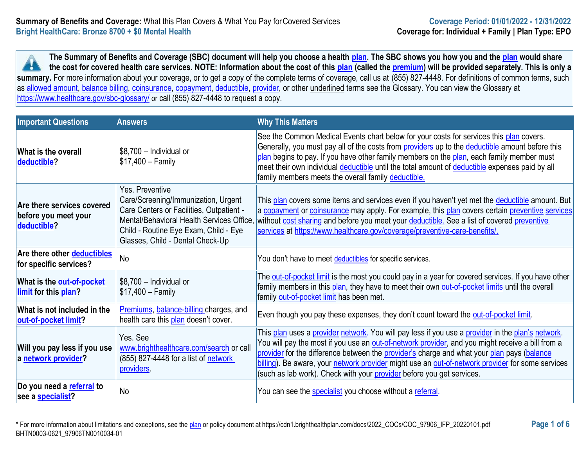**The Summary of Benefits and Coverage (SBC) document will help you choose a health [plan.](https://www.healthcare.gov/sbc-glossary/#plan) The SBC shows you how you and the [plan](https://www.healthcare.gov/sbc-glossary/#plan) would share the cost for covered health care services. NOTE: Information about the cost of this [plan](https://www.healthcare.gov/sbc-glossary/#plan) (called the [premium\)](https://www.healthcare.gov/sbc-glossary/#premium) will be provided separately. This is only a A** summary. For more information about your coverage, or to get a copy of the complete terms of coverage, call us at (855) 827-4448. For definitions of common terms, such as [allowed amount,](https://www.healthcare.gov/sbc-glossary/#allowed-amount) [balance billing,](https://www.healthcare.gov/sbc-glossary/#balance-billing) [coinsurance,](https://www.healthcare.gov/sbc-glossary/#coinsurance) [copayment,](https://www.healthcare.gov/sbc-glossary/#copayment) [deductible,](https://www.healthcare.gov/sbc-glossary/#deductible) [provider,](https://www.healthcare.gov/sbc-glossary/#provider) or other underlined terms see the Glossary. You can view the Glossary at <https://www.healthcare.gov/sbc-glossary/> or call (855) 827-4448 to request a copy.

| <b>Important Questions</b>                                        | <b>Answers</b>                                                                                                                                                                                                               | <b>Why This Matters</b>                                                                                                                                                                                                                                                                                                                                                                                                                                                                  |
|-------------------------------------------------------------------|------------------------------------------------------------------------------------------------------------------------------------------------------------------------------------------------------------------------------|------------------------------------------------------------------------------------------------------------------------------------------------------------------------------------------------------------------------------------------------------------------------------------------------------------------------------------------------------------------------------------------------------------------------------------------------------------------------------------------|
| What is the overall<br>deductible?                                | \$8,700 - Individual or<br>$$17,400 - Family$                                                                                                                                                                                | See the Common Medical Events chart below for your costs for services this plan covers.<br>Generally, you must pay all of the costs from providers up to the deductible amount before this<br>plan begins to pay. If you have other family members on the plan, each family member must<br>meet their own individual deductible until the total amount of deductible expenses paid by all<br>family members meets the overall family deductible.                                         |
| Are there services covered<br>before you meet your<br>deductible? | Yes. Preventive<br>Care/Screening/Immunization, Urgent<br>Care Centers or Facilities, Outpatient -<br>Mental/Behavioral Health Services Office.<br>Child - Routine Eye Exam, Child - Eye<br>Glasses, Child - Dental Check-Up | This plan covers some items and services even if you haven't yet met the deductible amount. But<br>a copayment or coinsurance may apply. For example, this plan covers certain preventive services<br>without cost sharing and before you meet your deductible. See a list of covered preventive<br>services at https://www.healthcare.gov/coverage/preventive-care-benefits/.                                                                                                           |
| Are there other deductibles<br>for specific services?             | <b>No</b>                                                                                                                                                                                                                    | You don't have to meet deductibles for specific services.                                                                                                                                                                                                                                                                                                                                                                                                                                |
| What is the <b>out-of-pocket</b><br>limit for this plan?          | \$8,700 - Individual or<br>$$17,400 - Family$                                                                                                                                                                                | The out-of-pocket limit is the most you could pay in a year for covered services. If you have other<br>family members in this plan, they have to meet their own out-of-pocket limits until the overall<br>family out-of-pocket limit has been met.                                                                                                                                                                                                                                       |
| What is not included in the<br>out-of-pocket limit?               | Premiums, balance-billing charges, and<br>health care this plan doesn't cover.                                                                                                                                               | Even though you pay these expenses, they don't count toward the out-of-pocket limit.                                                                                                                                                                                                                                                                                                                                                                                                     |
| Will you pay less if you use<br>a network provider?               | Yes, See<br>www.brighthealthcare.com/search or call<br>(855) 827-4448 for a list of network<br>providers.                                                                                                                    | This plan uses a provider network. You will pay less if you use a provider in the plan's network.<br>You will pay the most if you use an <b>out-of-network provider</b> , and you might receive a bill from a<br>provider for the difference between the provider's charge and what your plan pays (balance<br>billing). Be aware, your network provider might use an out-of-network provider for some services<br>(such as lab work). Check with your provider before you get services. |
| Do you need a referral to<br>see a <b>specialist?</b>             | No                                                                                                                                                                                                                           | You can see the <b>specialist</b> you choose without a referral.                                                                                                                                                                                                                                                                                                                                                                                                                         |

\* For more information about limitations and exceptions, see the [plan](https://www.healthcare.gov/sbc-glossary/#plan) or policy document at https://cdn1.brighthealthplan.com/docs/2022\_COCs/COC\_97906\_IFP\_20220101.pdf **Page 1 of 6** BHTN0003-0621\_97906TN0010034-01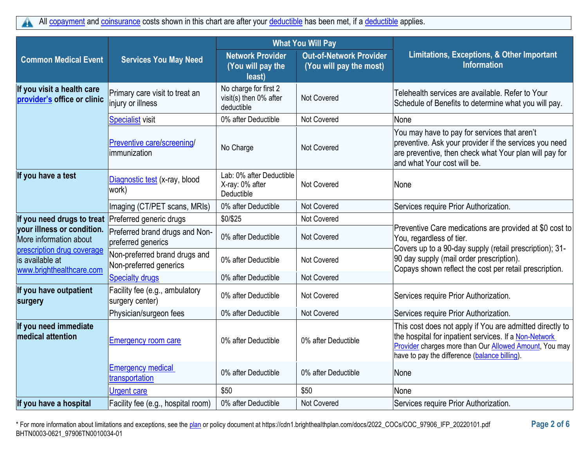|                                                                           |                                                         |                                                               | <b>What You Will Pay</b>                                  |                                                                                                                                                                                                                                     |
|---------------------------------------------------------------------------|---------------------------------------------------------|---------------------------------------------------------------|-----------------------------------------------------------|-------------------------------------------------------------------------------------------------------------------------------------------------------------------------------------------------------------------------------------|
| <b>Common Medical Event</b>                                               | <b>Services You May Need</b>                            | <b>Network Provider</b><br>(You will pay the<br>least)        | <b>Out-of-Network Provider</b><br>(You will pay the most) | Limitations, Exceptions, & Other Important<br><b>Information</b>                                                                                                                                                                    |
| If you visit a health care<br>provider's office or clinic                 | Primary care visit to treat an<br>injury or illness     | No charge for first 2<br>visit(s) then 0% after<br>deductible | <b>Not Covered</b>                                        | Telehealth services are available. Refer to Your<br>Schedule of Benefits to determine what you will pay.                                                                                                                            |
|                                                                           | <b>Specialist</b> visit                                 | 0% after Deductible                                           | <b>Not Covered</b>                                        | None                                                                                                                                                                                                                                |
|                                                                           | Preventive care/screening/<br>immunization              | No Charge                                                     | Not Covered                                               | You may have to pay for services that aren't<br>preventive. Ask your provider if the services you need<br>are preventive, then check what Your plan will pay for<br>and what Your cost will be.                                     |
| If you have a test                                                        | Diagnostic test (x-ray, blood<br>work)                  | Lab: 0% after Deductible<br>X-ray: 0% after<br>Deductible     | <b>Not Covered</b>                                        | None                                                                                                                                                                                                                                |
|                                                                           | Imaging (CT/PET scans, MRIs)                            | 0% after Deductible                                           | <b>Not Covered</b>                                        | Services require Prior Authorization.                                                                                                                                                                                               |
| If you need drugs to treat Preferred generic drugs                        |                                                         | \$0/\$25                                                      | <b>Not Covered</b>                                        |                                                                                                                                                                                                                                     |
| your illness or condition.<br>More information about                      | Preferred brand drugs and Non-<br>preferred generics    | 0% after Deductible                                           | Not Covered                                               | Preventive Care medications are provided at \$0 cost to<br>You, regardless of tier.                                                                                                                                                 |
| prescription drug coverage<br>is available at<br>www.brighthealthcare.com | Non-preferred brand drugs and<br>Non-preferred generics | 0% after Deductible                                           | Not Covered                                               | Covers up to a 90-day supply (retail prescription); 31-<br>90 day supply (mail order prescription).<br>Copays shown reflect the cost per retail prescription.                                                                       |
|                                                                           | <b>Specialty drugs</b>                                  | 0% after Deductible                                           | <b>Not Covered</b>                                        |                                                                                                                                                                                                                                     |
| If you have outpatient<br>surgery                                         | Facility fee (e.g., ambulatory<br>surgery center)       | 0% after Deductible                                           | <b>Not Covered</b>                                        | Services require Prior Authorization.                                                                                                                                                                                               |
|                                                                           | Physician/surgeon fees                                  | 0% after Deductible                                           | Not Covered                                               | Services require Prior Authorization.                                                                                                                                                                                               |
| If you need immediate<br>medical attention                                | <b>Emergency room care</b>                              | 0% after Deductible                                           | 0% after Deductible                                       | This cost does not apply if You are admitted directly to<br>the hospital for inpatient services. If a Non-Network<br><b>Provider charges more than Our Allowed Amount, You may</b><br>have to pay the difference (balance billing). |
|                                                                           | <b>Emergency medical</b><br>transportation              | 0% after Deductible                                           | 0% after Deductible                                       | None                                                                                                                                                                                                                                |
|                                                                           | Urgent care                                             | \$50                                                          | \$50                                                      | None                                                                                                                                                                                                                                |
| If you have a hospital                                                    | Facility fee (e.g., hospital room)                      | 0% after Deductible                                           | Not Covered                                               | Services require Prior Authorization.                                                                                                                                                                                               |

\* For more information about limitations and exceptions, see the [plan](https://www.healthcare.gov/sbc-glossary/#plan) or policy document at https://cdn1.brighthealthplan.com/docs/2022\_COCs/COC\_97906\_IFP\_20220101.pdf **Page 2 of 6** BHTN0003-0621\_97906TN0010034-01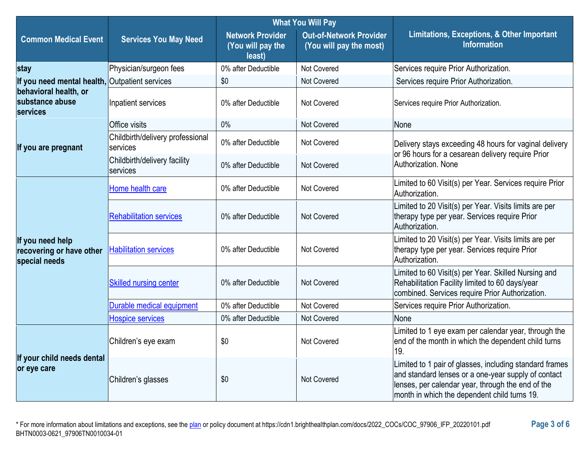|                                                               |                                              | <b>What You Will Pay</b>                               |                                                           |                                                                                                                                                                                                                     |  |
|---------------------------------------------------------------|----------------------------------------------|--------------------------------------------------------|-----------------------------------------------------------|---------------------------------------------------------------------------------------------------------------------------------------------------------------------------------------------------------------------|--|
| <b>Common Medical Event</b>                                   | <b>Services You May Need</b>                 | <b>Network Provider</b><br>(You will pay the<br>least) | <b>Out-of-Network Provider</b><br>(You will pay the most) | Limitations, Exceptions, & Other Important<br><b>Information</b>                                                                                                                                                    |  |
| stay                                                          | Physician/surgeon fees                       | 0% after Deductible                                    | Not Covered                                               | Services require Prior Authorization.                                                                                                                                                                               |  |
| If you need mental health, Outpatient services                |                                              | \$0                                                    | Not Covered                                               | Services require Prior Authorization.                                                                                                                                                                               |  |
| behavioral health, or<br>substance abuse<br>services          | Inpatient services                           | 0% after Deductible                                    | Not Covered                                               | Services require Prior Authorization.                                                                                                                                                                               |  |
|                                                               | Office visits                                | $0\%$                                                  | Not Covered                                               | None                                                                                                                                                                                                                |  |
| If you are pregnant                                           | Childbirth/delivery professional<br>services | 0% after Deductible                                    | Not Covered                                               | Delivery stays exceeding 48 hours for vaginal delivery                                                                                                                                                              |  |
|                                                               | Childbirth/delivery facility<br>services     | 0% after Deductible                                    | Not Covered                                               | or 96 hours for a cesarean delivery require Prior<br>Authorization, None                                                                                                                                            |  |
|                                                               | Home health care                             | 0% after Deductible                                    | Not Covered                                               | Limited to 60 Visit(s) per Year. Services require Prior<br>Authorization.                                                                                                                                           |  |
| If you need help<br>recovering or have other<br>special needs | <b>Rehabilitation services</b>               | 0% after Deductible                                    | <b>Not Covered</b>                                        | Limited to 20 Visit(s) per Year. Visits limits are per<br>therapy type per year. Services require Prior<br>Authorization.                                                                                           |  |
|                                                               | <b>Habilitation services</b>                 | 0% after Deductible                                    | Not Covered                                               | Limited to 20 Visit(s) per Year. Visits limits are per<br>therapy type per year. Services require Prior<br>Authorization.                                                                                           |  |
|                                                               | <b>Skilled nursing center</b>                | 0% after Deductible                                    | Not Covered                                               | Limited to 60 Visit(s) per Year. Skilled Nursing and<br>Rehabilitation Facility limited to 60 days/year<br>combined. Services require Prior Authorization.                                                          |  |
|                                                               | Durable medical equipment                    | 0% after Deductible                                    | Not Covered                                               | Services require Prior Authorization.                                                                                                                                                                               |  |
|                                                               | <b>Hospice services</b>                      | 0% after Deductible                                    | Not Covered                                               | None                                                                                                                                                                                                                |  |
| If your child needs dental<br>or eye care                     | Children's eye exam                          | \$0                                                    | Not Covered                                               | Limited to 1 eye exam per calendar year, through the<br>end of the month in which the dependent child turns<br>19.                                                                                                  |  |
|                                                               | Children's glasses                           | \$0                                                    | Not Covered                                               | Limited to 1 pair of glasses, including standard frames<br>and standard lenses or a one-year supply of contact<br>lenses, per calendar year, through the end of the<br>month in which the dependent child turns 19. |  |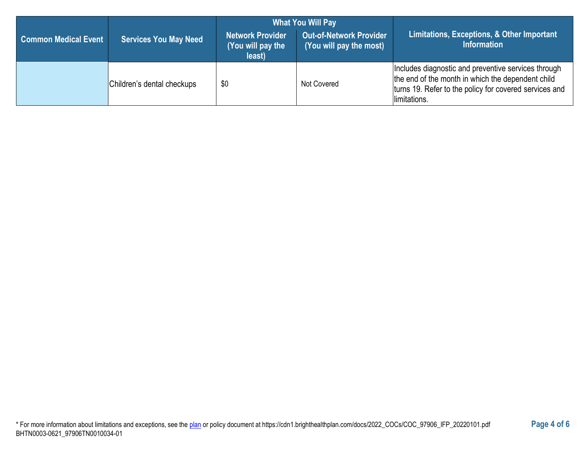|                             |                              | <b>What You Will Pay</b>                        |                                                           |                                                                                                                                                                                    |  |
|-----------------------------|------------------------------|-------------------------------------------------|-----------------------------------------------------------|------------------------------------------------------------------------------------------------------------------------------------------------------------------------------------|--|
| <b>Common Medical Event</b> | <b>Services You May Need</b> | Network Provider<br>(You will pay the<br>least) | <b>Out-of-Network Provider</b><br>(You will pay the most) | Limitations, Exceptions, & Other Important<br><b>Information</b>                                                                                                                   |  |
|                             | Children's dental checkups   | \$0                                             | Not Covered                                               | Includes diagnostic and preventive services through<br>the end of the month in which the dependent child<br>turns 19. Refer to the policy for covered services and<br>limitations. |  |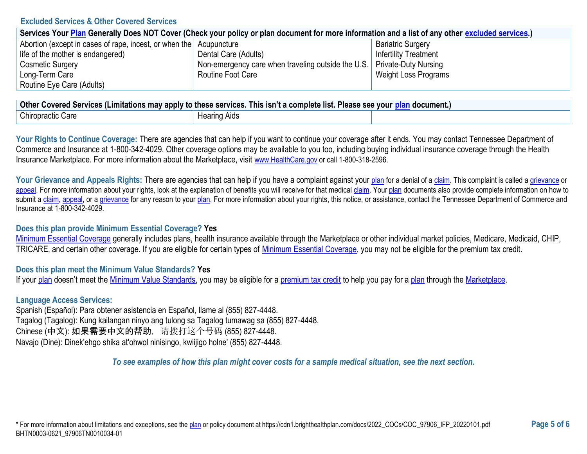#### **Excluded Services & Other Covered Services**

| Services Your Plan Generally Does NOT Cover (Check your policy or plan document for more information and a list of any other excluded services.) |                                                                           |                              |  |
|--------------------------------------------------------------------------------------------------------------------------------------------------|---------------------------------------------------------------------------|------------------------------|--|
| Abortion (except in cases of rape, incest, or when the Acupuncture                                                                               |                                                                           | <b>Bariatric Surgery</b>     |  |
| life of the mother is endangered)                                                                                                                | Dental Care (Adults)                                                      | <b>Infertility Treatment</b> |  |
| <b>Cosmetic Surgery</b>                                                                                                                          | Non-emergency care when traveling outside the U.S.   Private-Duty Nursing |                              |  |
| Long-Term Care                                                                                                                                   | Routine Foot Care                                                         | Weight Loss Programs         |  |
| Routine Eye Care (Adults)                                                                                                                        |                                                                           |                              |  |

| <b>Other</b><br>. .<br>Please see your<br>. This isn't a complete list. I<br>′ Covered Services (Limitations may apply to these services. ⊺<br>ocument |                                |  |
|--------------------------------------------------------------------------------------------------------------------------------------------------------|--------------------------------|--|
| <b>Chiropractic Care</b>                                                                                                                               | . Hooring<br>Aids<br>Hearing , |  |

Your Rights to Continue Coverage: There are agencies that can help if you want to continue your coverage after it ends. You may contact Tennessee Department of Commerce and Insurance at 1-800-342-4029. Other coverage options may be available to you too, including buying individual insurance coverage through the Health Insurance Marketplace. For more information about the Marketplace, visit [www.HealthCare.gov](https://www.healthcare.gov/) or call 1-800-318-2596.

Your Grievance and Appeals Rights: There are agencies that can help if you have a complaint against your [plan](https://www.healthcare.gov/sbc-glossary/#plan) for a denial of [a claim.](https://www.healthcare.gov/sbc-glossary/#claim) This complaint is called a [grievance](https://www.healthcare.gov/sbc-glossary/#grievance) or [appeal.](https://www.healthcare.gov/sbc-glossary/#appeal) For more information about your rights, look at the explanation of benefits you will receive for that medical [claim.](https://www.healthcare.gov/sbc-glossary/#claim) You[r plan](https://www.healthcare.gov/sbc-glossary/#plan) documents also provide complete information on how to submit a [claim,](https://www.healthcare.gov/sbc-glossary/#claim) [appeal,](https://www.healthcare.gov/sbc-glossary/#appeal) or [a grievance](https://www.healthcare.gov/sbc-glossary/#grievance) for any reason to your [plan.](https://www.healthcare.gov/sbc-glossary/#plan) For more information about your rights, this notice, or assistance, contact the Tennessee Department of Commerce and Insurance at 1-800-342-4029.

### **Does this plan provide Minimum Essential Coverage? Yes**

[Minimum Essential Coverage](https://www.healthcare.gov/sbc-glossary/#minimum-essential-coverage) generally includes plans, health insurance available through the Marketplace or other individual market policies, Medicare, Medicaid, CHIP, TRICARE, and certain other coverage. If you are eligible for certain types of [Minimum Essential Coverage,](https://www.healthcare.gov/sbc-glossary/#minimum-essential-coverage) you may not be eligible for the premium tax credit.

## **Does this plan meet the Minimum Value Standards? Yes**

If you[r plan](https://www.healthcare.gov/sbc-glossary/#plan) doesn't meet the [Minimum Value Standards,](https://www.healthcare.gov/sbc-glossary/#minimum-value-standard) you may be eligible for a [premium tax credit](https://www.healthcare.gov/sbc-glossary/#premium-tax-credits) to help you pay for a [plan](https://www.healthcare.gov/sbc-glossary/#plan) through the [Marketplace.](https://www.healthcare.gov/sbc-glossary/#marketplace)

## **Language Access Services:**

Spanish (Español): Para obtener asistencia en Español, llame al (855) 827-4448. Tagalog (Tagalog): Kung kailangan ninyo ang tulong sa Tagalog tumawag sa (855) 827-4448. Chinese (中文): 如果需要中文的帮助,请拨打这个号码 (855) 827-4448. Navajo (Dine): Dinek'ehgo shika at'ohwol ninisingo, kwiijigo holne' (855) 827-4448.

*To see examples of how this plan might cover costs for a sample medical situation, see the next section.*